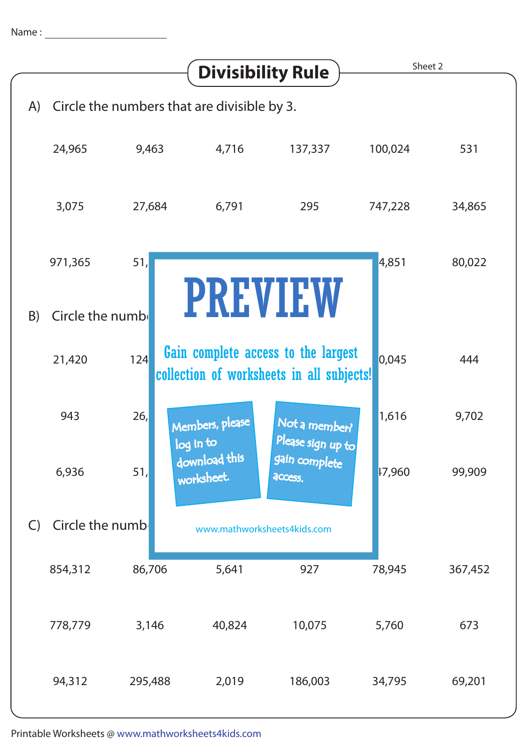|                                                    | <b>Divisibility Rule</b> |                  |                             |                                                                                  | Sheet 2 |         |
|----------------------------------------------------|--------------------------|------------------|-----------------------------|----------------------------------------------------------------------------------|---------|---------|
| Circle the numbers that are divisible by 3.<br>(A) |                          |                  |                             |                                                                                  |         |         |
|                                                    | 24,965                   | 9,463            | 4,716                       | 137,337                                                                          | 100,024 | 531     |
|                                                    | 3,075                    | 27,684           | 6,791                       | 295                                                                              | 747,228 | 34,865  |
|                                                    | 971,365                  | 51,              |                             |                                                                                  | 4,851   | 80,022  |
| B)                                                 | Circle the numb          |                  |                             | <b>PREVIEW</b>                                                                   |         |         |
|                                                    | 21,420                   | 124              |                             | Gain complete access to the largest<br>collection of worksheets in all subjects! | 0,045   | 444     |
|                                                    | 943                      | 26,<br>log in to | Members, please             | Not a member?<br>Please sign up to                                               | 1,616   | 9,702   |
|                                                    | 6,936                    | 51,              | download this<br>worksheet. | gain complete<br>access.                                                         | 17,960  | 99,909  |
| $\mathsf{C}$                                       | Circle the numb          |                  | www.mathworksheets4kids.com |                                                                                  |         |         |
|                                                    | 854,312                  | 86,706           | 5,641                       | 927                                                                              | 78,945  | 367,452 |
|                                                    | 778,779                  | 3,146            | 40,824                      | 10,075                                                                           | 5,760   | 673     |
|                                                    | 94,312                   | 295,488          | 2,019                       | 186,003                                                                          | 34,795  | 69,201  |